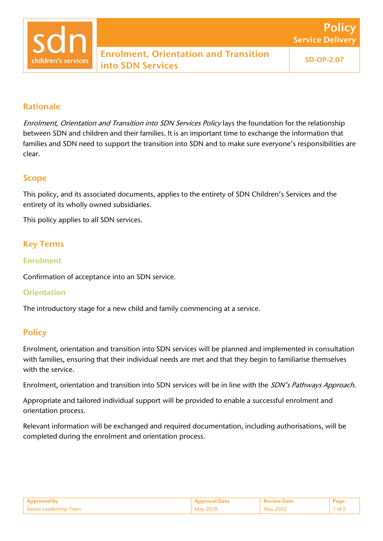

# Rationale

Enrolment, Orientation and Transition into SDN Services Policy lays the foundation for the relationship between SDN and children and their families. It is an important time to exchange the information that families and SDN need to support the transition into SDN and to make sure everyone's responsibilities are clear.

### Scope

This policy, and its associated documents, applies to the entirety of SDN Children's Services and the entirety of its wholly owned subsidiaries.

This policy applies to all SDN services.

## Key Terms

#### Enrolment

Confirmation of acceptance into an SDN service.

#### **Orientation**

The introductory stage for a new child and family commencing at a service.

### **Policy**

Enrolment, orientation and transition into SDN services will be planned and implemented in consultation with families, ensuring that their individual needs are met and that they begin to familiarise themselves with the service.

Enrolment, orientation and transition into SDN services will be in line with the SDN's Pathways Approach.

Appropriate and tailored individual support will be provided to enable a successful enrolment and orientation process.

Relevant information will be exchanged and required documentation, including authorisations, will be completed during the enrolment and orientation process.

|                                       |                 |     | Pag |
|---------------------------------------|-----------------|-----|-----|
| $^{\circ}$ Senior Le.<br>Team<br>---- | Mav 201<br>____ | כמכ |     |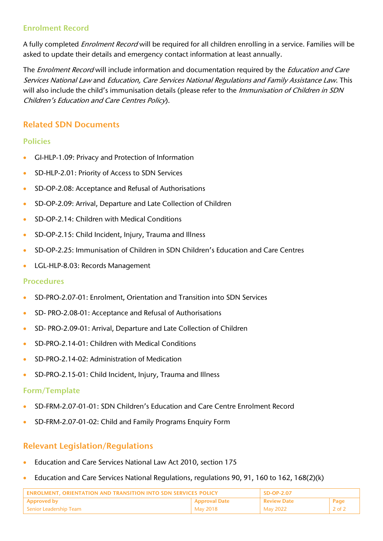## Enrolment Record

A fully completed *Enrolment Record* will be required for all children enrolling in a service. Families will be asked to update their details and emergency contact information at least annually.

The *Enrolment Record* will include information and documentation required by the *Education and Care* Services National Law and Education, Care Services National Regulations and Family Assistance Law. This will also include the child's immunisation details (please refer to the Immunisation of Children in SDN Children's Education and Care Centres Policy).

## Related SDN Documents

### Policies

- GI-HLP-1.09: Privacy and Protection of Information
- SD-HLP-2.01: Priority of Access to SDN Services
- SD-OP-2.08: Acceptance and Refusal of Authorisations
- SD-OP-2.09: Arrival, Departure and Late Collection of Children
- SD-OP-2.14: Children with Medical Conditions
- SD-OP-2.15: Child Incident, Injury, Trauma and Illness
- SD-OP-2.25: Immunisation of Children in SDN Children's Education and Care Centres
- LGL-HLP-8.03: Records Management

#### Procedures

- SD-PRO-2.07-01: Enrolment, Orientation and Transition into SDN Services
- SD- PRO-2.08-01: Acceptance and Refusal of Authorisations
- SD- PRO-2.09-01: Arrival, Departure and Late Collection of Children
- SD-PRO-2.14-01: Children with Medical Conditions
- SD-PRO-2.14-02: Administration of Medication
- SD-PRO-2.15-01: Child Incident, Injury, Trauma and Illness

#### Form/Template

- SD-FRM-2.07-01-01: SDN Children's Education and Care Centre Enrolment Record
- SD-FRM-2.07-01-02: Child and Family Programs Enquiry Form

# Relevant Legislation/Regulations

- Education and Care Services National Law Act 2010, section 175
- Education and Care Services National Regulations, regulations 90, 91, 160 to 162, 168(2)(k)

| FNROLMENT, ORIENTATION AND TRANSITION INTO SDN SERVICES POLICY |                      | SD-OP-2.07         |                |
|----------------------------------------------------------------|----------------------|--------------------|----------------|
| <b>Approved by</b>                                             | <b>Approval Date</b> | <b>Review Date</b> | Page           |
| l Senior Leadership Team                                       | May 2018             | May 2022           | 2 of $\lambda$ |